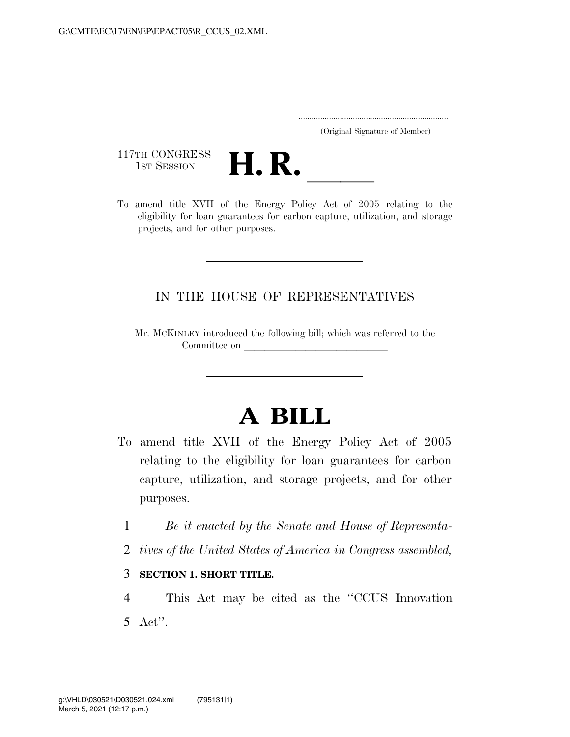..................................................................... (Original Signature of Member)

117TH CONGRESS<br>1st Session



117TH CONGRESS<br>1st SESSION **H. R.** <u>International Constant of 2005</u> relating to the eligibility for loan guarantees for carbon capture, utilization, and storage projects, and for other purposes.

## IN THE HOUSE OF REPRESENTATIVES

Mr. MCKINLEY introduced the following bill; which was referred to the Committee on

## **A BILL**

- To amend title XVII of the Energy Policy Act of 2005 relating to the eligibility for loan guarantees for carbon capture, utilization, and storage projects, and for other purposes.
	- 1 *Be it enacted by the Senate and House of Representa-*
	- 2 *tives of the United States of America in Congress assembled,*
	- 3 **SECTION 1. SHORT TITLE.**

4 This Act may be cited as the ''CCUS Innovation 5 Act''.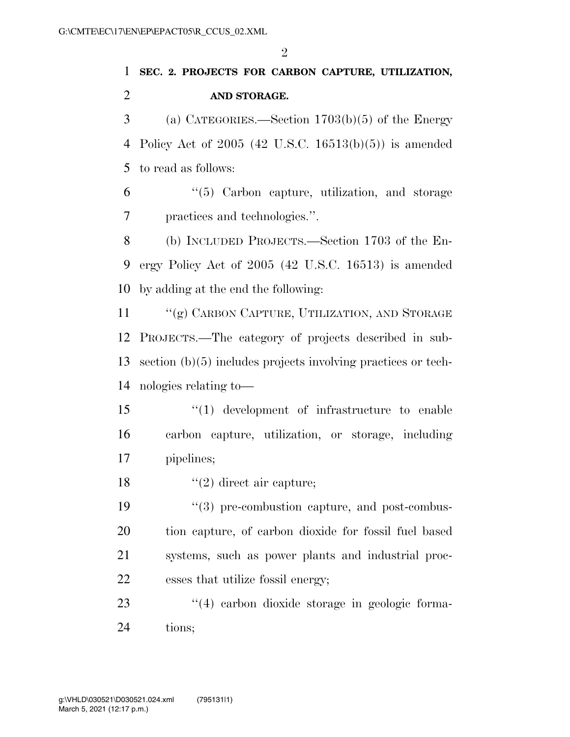## **SEC. 2. PROJECTS FOR CARBON CAPTURE, UTILIZATION, AND STORAGE.**

 (a) CATEGORIES.—Section 1703(b)(5) of the Energy Policy Act of 2005 (42 U.S.C. 16513(b)(5)) is amended to read as follows:

 ''(5) Carbon capture, utilization, and storage practices and technologies.''.

 (b) INCLUDED PROJECTS.—Section 1703 of the En- ergy Policy Act of 2005 (42 U.S.C. 16513) is amended by adding at the end the following:

11 "(g) CARBON CAPTURE, UTILIZATION, AND STORAGE PROJECTS.—The category of projects described in sub- section (b)(5) includes projects involving practices or tech-nologies relating to—

 ''(1) development of infrastructure to enable carbon capture, utilization, or storage, including pipelines;

18  $"(2)$  direct air capture;

 $\frac{1}{2}$  (3) pre-combustion capture, and post-combus- tion capture, of carbon dioxide for fossil fuel based systems, such as power plants and industrial proc-esses that utilize fossil energy;

23  $\frac{4}{4}$  carbon dioxide storage in geologic forma-tions;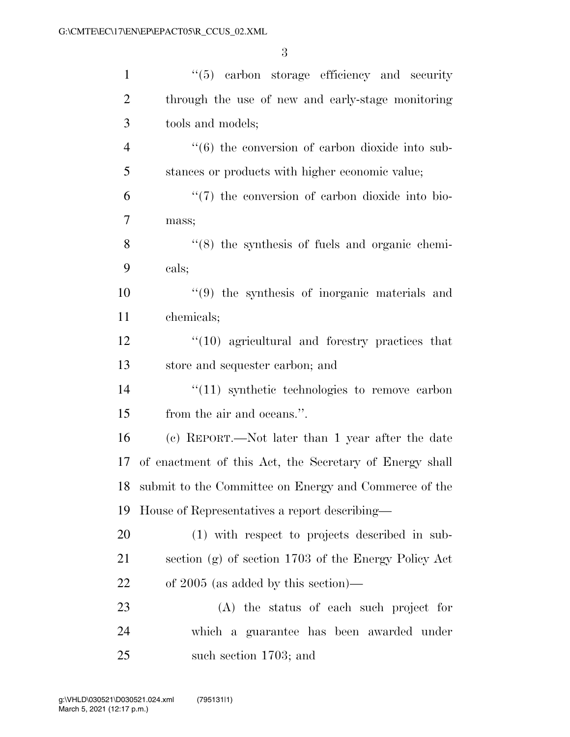| $\mathbf{1}$   | $\lq(5)$ carbon storage efficiency and security                 |
|----------------|-----------------------------------------------------------------|
| $\overline{2}$ | through the use of new and early-stage monitoring               |
| 3              | tools and models;                                               |
| $\overline{4}$ | $\cdot\cdot\cdot(6)$ the conversion of carbon dioxide into sub- |
| 5              | stances or products with higher economic value;                 |
| 6              | $\lq(7)$ the conversion of carbon dioxide into bio-             |
| $\overline{7}$ | mass;                                                           |
| 8              | $\cdot$ (8) the synthesis of fuels and organic chemi-           |
| 9              | cals;                                                           |
| 10             | $(9)$ the synthesis of inorganic materials and                  |
| 11             | chemicals;                                                      |
| 12             | $\cdot$ (10) agricultural and forestry practices that           |
| 13             | store and sequester carbon; and                                 |
| 14             | $\lq(11)$ synthetic technologies to remove carbon               |
| 15             | from the air and oceans.".                                      |
| 16             | (c) REPORT.—Not later than 1 year after the date                |
| 17             | of enactment of this Act, the Secretary of Energy shall         |
|                | 18 submit to the Committee on Energy and Commerce of the        |
| 19             | House of Representatives a report describing—                   |
| 20             | (1) with respect to projects described in sub-                  |
| 21             | section (g) of section 1703 of the Energy Policy Act            |
| 22             | of $2005$ (as added by this section)—                           |
| 23             | (A) the status of each such project for                         |
| 24             | which a guarantee has been awarded under                        |
| 25             | such section 1703; and                                          |